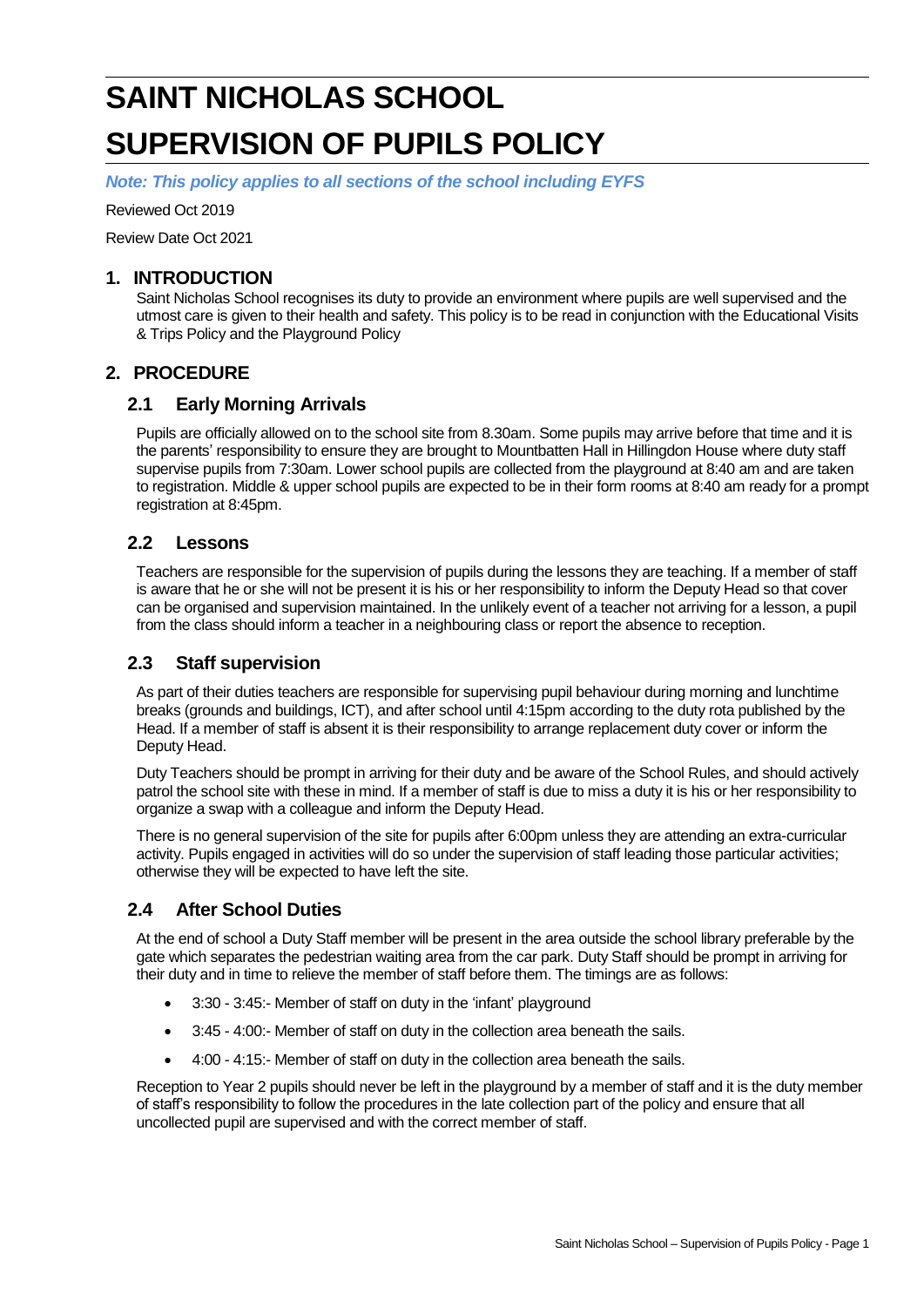# **SAINT NICHOLAS SCHOOL SUPERVISION OF PUPILS POLICY**

*Note: This policy applies to all sections of the school including EYFS*

Reviewed Oct 2019

Review Date Oct 2021

#### **1. INTRODUCTION**

Saint Nicholas School recognises its duty to provide an environment where pupils are well supervised and the utmost care is given to their health and safety. This policy is to be read in conjunction with the Educational Visits & Trips Policy and the Playground Policy

### **2. PROCEDURE**

### **2.1 Early Morning Arrivals**

Pupils are officially allowed on to the school site from 8.30am. Some pupils may arrive before that time and it is the parents' responsibility to ensure they are brought to Mountbatten Hall in Hillingdon House where duty staff supervise pupils from 7:30am. Lower school pupils are collected from the playground at 8:40 am and are taken to registration. Middle & upper school pupils are expected to be in their form rooms at 8:40 am ready for a prompt registration at 8:45pm.

#### **2.2 Lessons**

Teachers are responsible for the supervision of pupils during the lessons they are teaching. If a member of staff is aware that he or she will not be present it is his or her responsibility to inform the Deputy Head so that cover can be organised and supervision maintained. In the unlikely event of a teacher not arriving for a lesson, a pupil from the class should inform a teacher in a neighbouring class or report the absence to reception.

## **2.3 Staff supervision**

As part of their duties teachers are responsible for supervising pupil behaviour during morning and lunchtime breaks (grounds and buildings, ICT), and after school until 4:15pm according to the duty rota published by the Head. If a member of staff is absent it is their responsibility to arrange replacement duty cover or inform the Deputy Head.

Duty Teachers should be prompt in arriving for their duty and be aware of the School Rules, and should actively patrol the school site with these in mind. If a member of staff is due to miss a duty it is his or her responsibility to organize a swap with a colleague and inform the Deputy Head.

There is no general supervision of the site for pupils after 6:00pm unless they are attending an extra-curricular activity. Pupils engaged in activities will do so under the supervision of staff leading those particular activities; otherwise they will be expected to have left the site.

# **2.4 After School Duties**

At the end of school a Duty Staff member will be present in the area outside the school library preferable by the gate which separates the pedestrian waiting area from the car park. Duty Staff should be prompt in arriving for their duty and in time to relieve the member of staff before them. The timings are as follows:

- 3:30 3:45:- Member of staff on duty in the 'infant' playground
- 3:45 4:00:- Member of staff on duty in the collection area beneath the sails.
- 4:00 4:15:- Member of staff on duty in the collection area beneath the sails.

Reception to Year 2 pupils should never be left in the playground by a member of staff and it is the duty member of staff's responsibility to follow the procedures in the late collection part of the policy and ensure that all uncollected pupil are supervised and with the correct member of staff.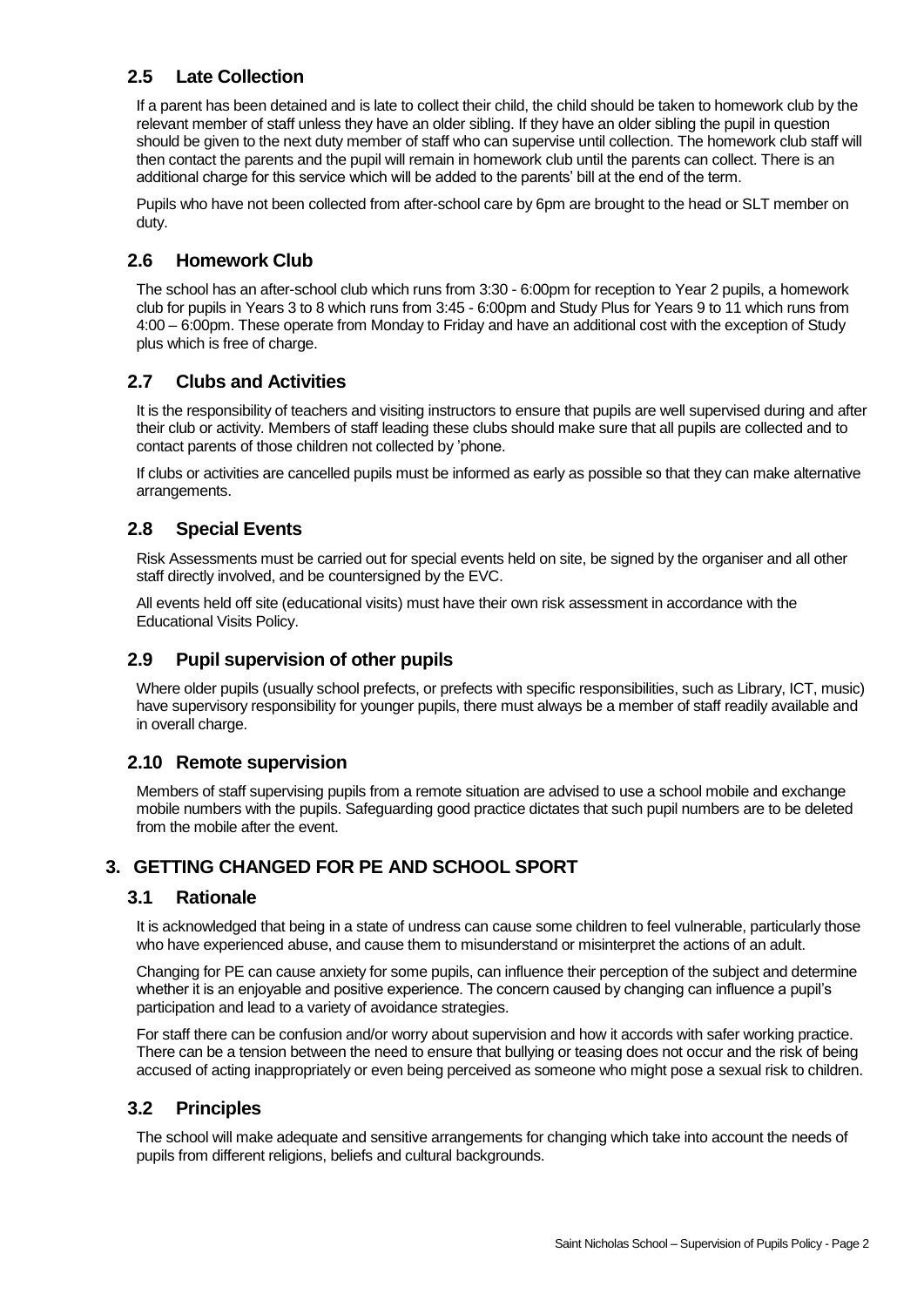# **2.5 Late Collection**

If a parent has been detained and is late to collect their child, the child should be taken to homework club by the relevant member of staff unless they have an older sibling. If they have an older sibling the pupil in question should be given to the next duty member of staff who can supervise until collection. The homework club staff will then contact the parents and the pupil will remain in homework club until the parents can collect. There is an additional charge for this service which will be added to the parents' bill at the end of the term.

Pupils who have not been collected from after-school care by 6pm are brought to the head or SLT member on duty.

## **2.6 Homework Club**

The school has an after-school club which runs from 3:30 - 6:00pm for reception to Year 2 pupils, a homework club for pupils in Years 3 to 8 which runs from 3:45 - 6:00pm and Study Plus for Years 9 to 11 which runs from 4:00 – 6:00pm. These operate from Monday to Friday and have an additional cost with the exception of Study plus which is free of charge.

#### **2.7 Clubs and Activities**

It is the responsibility of teachers and visiting instructors to ensure that pupils are well supervised during and after their club or activity. Members of staff leading these clubs should make sure that all pupils are collected and to contact parents of those children not collected by 'phone.

If clubs or activities are cancelled pupils must be informed as early as possible so that they can make alternative arrangements.

### **2.8 Special Events**

Risk Assessments must be carried out for special events held on site, be signed by the organiser and all other staff directly involved, and be countersigned by the EVC.

All events held off site (educational visits) must have their own risk assessment in accordance with the Educational Visits Policy.

#### **2.9 Pupil supervision of other pupils**

Where older pupils (usually school prefects, or prefects with specific responsibilities, such as Library, ICT, music) have supervisory responsibility for younger pupils, there must always be a member of staff readily available and in overall charge.

#### **2.10 Remote supervision**

Members of staff supervising pupils from a remote situation are advised to use a school mobile and exchange mobile numbers with the pupils. Safeguarding good practice dictates that such pupil numbers are to be deleted from the mobile after the event.

#### **3. GETTING CHANGED FOR PE AND SCHOOL SPORT**

#### **3.1 Rationale**

It is acknowledged that being in a state of undress can cause some children to feel vulnerable, particularly those who have experienced abuse, and cause them to misunderstand or misinterpret the actions of an adult.

Changing for PE can cause anxiety for some pupils, can influence their perception of the subject and determine whether it is an enjoyable and positive experience. The concern caused by changing can influence a pupil's participation and lead to a variety of avoidance strategies.

For staff there can be confusion and/or worry about supervision and how it accords with safer working practice. There can be a tension between the need to ensure that bullying or teasing does not occur and the risk of being accused of acting inappropriately or even being perceived as someone who might pose a sexual risk to children.

#### **3.2 Principles**

The school will make adequate and sensitive arrangements for changing which take into account the needs of pupils from different religions, beliefs and cultural backgrounds.